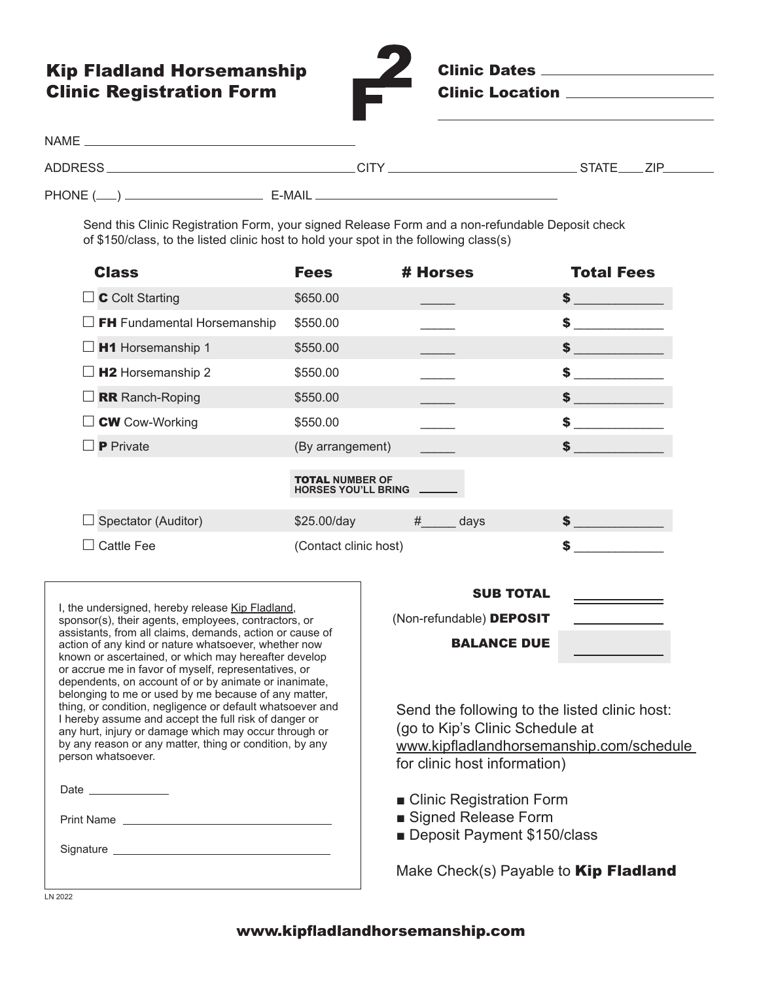## Kip Fladland Horsemanship Clinic Registration Form



Clinic Dates Clinic Location

| <b>NAME</b> |        |               |
|-------------|--------|---------------|
| ADDRESS.    | CITY   | STATE.<br>7IP |
| PHONE $(\_$ | E-MAIL |               |

Send this Clinic Registration Form, your signed Release Form and a non-refundable Deposit check of \$150/class, to the listed clinic host to hold your spot in the following class(s)

| <b>Class</b>                                                                                                                                                                                                                                                                                                                                                                                                                                                                                                                                                                                                                                                                                                                  | <b>Fees</b>                                          | # Horses                                                                                                                                                                                                                           | <b>Total Fees</b> |
|-------------------------------------------------------------------------------------------------------------------------------------------------------------------------------------------------------------------------------------------------------------------------------------------------------------------------------------------------------------------------------------------------------------------------------------------------------------------------------------------------------------------------------------------------------------------------------------------------------------------------------------------------------------------------------------------------------------------------------|------------------------------------------------------|------------------------------------------------------------------------------------------------------------------------------------------------------------------------------------------------------------------------------------|-------------------|
| <b>C</b> Colt Starting                                                                                                                                                                                                                                                                                                                                                                                                                                                                                                                                                                                                                                                                                                        | \$650.00                                             |                                                                                                                                                                                                                                    |                   |
| <b>FH</b> Fundamental Horsemanship                                                                                                                                                                                                                                                                                                                                                                                                                                                                                                                                                                                                                                                                                            | \$550.00                                             |                                                                                                                                                                                                                                    | $\sim$            |
| H1 Horsemanship 1                                                                                                                                                                                                                                                                                                                                                                                                                                                                                                                                                                                                                                                                                                             | \$550.00                                             |                                                                                                                                                                                                                                    |                   |
| H <sub>2</sub> Horsemanship 2                                                                                                                                                                                                                                                                                                                                                                                                                                                                                                                                                                                                                                                                                                 | \$550.00                                             |                                                                                                                                                                                                                                    | $\mathbf{s}$      |
| <b>RR</b> Ranch-Roping                                                                                                                                                                                                                                                                                                                                                                                                                                                                                                                                                                                                                                                                                                        | \$550.00                                             |                                                                                                                                                                                                                                    | $\sim$ $\sim$     |
| <b>CW</b> Cow-Working                                                                                                                                                                                                                                                                                                                                                                                                                                                                                                                                                                                                                                                                                                         | \$550.00                                             |                                                                                                                                                                                                                                    | $\sim$            |
| <b>P</b> Private                                                                                                                                                                                                                                                                                                                                                                                                                                                                                                                                                                                                                                                                                                              | (By arrangement)                                     |                                                                                                                                                                                                                                    | $\sim$ $\sim$     |
|                                                                                                                                                                                                                                                                                                                                                                                                                                                                                                                                                                                                                                                                                                                               | <b>TOTAL NUMBER OF</b><br><b>HORSES YOU'LL BRING</b> |                                                                                                                                                                                                                                    |                   |
| Spectator (Auditor)                                                                                                                                                                                                                                                                                                                                                                                                                                                                                                                                                                                                                                                                                                           | \$25.00/day                                          | #<br>days                                                                                                                                                                                                                          | $\sim$            |
| <b>Cattle Fee</b>                                                                                                                                                                                                                                                                                                                                                                                                                                                                                                                                                                                                                                                                                                             | (Contact clinic host)                                |                                                                                                                                                                                                                                    |                   |
| I, the undersigned, hereby release Kip Fladland,<br>sponsor(s), their agents, employees, contractors, or<br>assistants, from all claims, demands, action or cause of<br>action of any kind or nature whatsoever, whether now<br>known or ascertained, or which may hereafter develop<br>or accrue me in favor of myself, representatives, or<br>dependents, on account of or by animate or inanimate,<br>belonging to me or used by me because of any matter,<br>thing, or condition, negligence or default whatsoever and<br>I hereby assume and accept the full risk of danger or<br>any hurt, injury or damage which may occur through or<br>by any reason or any matter, thing or condition, by any<br>person whatsoever. |                                                      | <b>SUB TOTAL</b><br>(Non-refundable) DEPOSIT<br><b>BALANCE DUE</b><br>Send the following to the listed clinic host:<br>(go to Kip's Clinic Schedule at<br>www.kipfladlandhorsemanship.com/schedule<br>for clinic host information) |                   |
| Date                                                                                                                                                                                                                                                                                                                                                                                                                                                                                                                                                                                                                                                                                                                          |                                                      | .                                                                                                                                                                                                                                  |                   |

■ Clinic Registration Form

- Signed Release Form
- Deposit Payment \$150/class

Make Check(s) Payable to Kip Fladland

LN 2022

Print Name

Signature